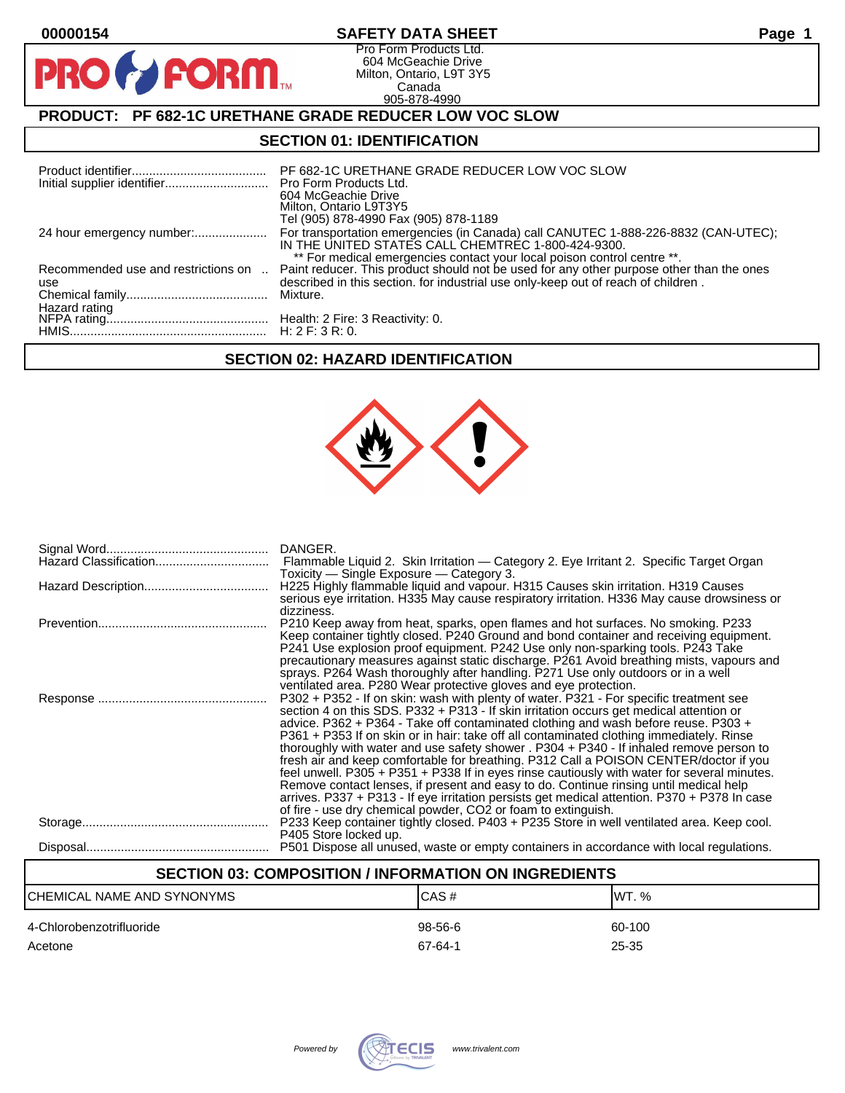**PI** 

# **00000154 SAFETY DATA SHEET Page 1**

Pro Form Products Ltd. 604 McGeachie Drive Milton, Ontario, L9T 3Y5 Canada 905-878-4990

# **PRODUCT: PF 682-1C URETHANE GRADE REDUCER LOW VOC SLOW**

**FORM** 

### **SECTION 01: IDENTIFICATION**

|                           | PF 682-1C URETHANE GRADE REDUCER LOW VOC SLOW<br>Pro Form Products Ltd.<br>604 McGeachie Drive<br>Milton, Ontario L9T3Y5<br>Tel (905) 878-4990 Fax (905) 878-1189                                                                                                                             |
|---------------------------|-----------------------------------------------------------------------------------------------------------------------------------------------------------------------------------------------------------------------------------------------------------------------------------------------|
| 24 hour emergency number: | For transportation emergencies (in Canada) call CANUTEC 1-888-226-8832 (CAN-UTEC);<br>IN THE UNITED STATES CALL CHEMTREC 1-800-424-9300.                                                                                                                                                      |
|                           | ** For medical emergencies contact your local poison control centre **.<br>Recommended use and restrictions on  Paint reducer. This product should not be used for any other purpose other than the ones<br>described in this section. for industrial use only-keep out of reach of children. |
| use                       |                                                                                                                                                                                                                                                                                               |
|                           |                                                                                                                                                                                                                                                                                               |
|                           |                                                                                                                                                                                                                                                                                               |

## **SECTION 02: HAZARD IDENTIFICATION**



| Hazard Classification | Flammable Liquid 2. Skin Irritation — Category 2. Eye Irritant 2. Specific Target Organ<br>Toxicity - Single Exposure - Category 3.                                                                                                                                                                                                                                                                                                                                                                                                                                                                                                                                                                                                                                                                                                                                                                              |
|-----------------------|------------------------------------------------------------------------------------------------------------------------------------------------------------------------------------------------------------------------------------------------------------------------------------------------------------------------------------------------------------------------------------------------------------------------------------------------------------------------------------------------------------------------------------------------------------------------------------------------------------------------------------------------------------------------------------------------------------------------------------------------------------------------------------------------------------------------------------------------------------------------------------------------------------------|
|                       | H225 Highly flammable liquid and vapour. H315 Causes skin irritation. H319 Causes<br>serious eye irritation. H335 May cause respiratory irritation. H336 May cause drowsiness or<br>dizziness.                                                                                                                                                                                                                                                                                                                                                                                                                                                                                                                                                                                                                                                                                                                   |
|                       | P210 Keep away from heat, sparks, open flames and hot surfaces. No smoking. P233<br>Keep container tightly closed. P240 Ground and bond container and receiving equipment.<br>P241 Use explosion proof equipment. P242 Use only non-sparking tools. P243 Take<br>precautionary measures against static discharge. P261 Avoid breathing mists, vapours and<br>sprays. P264 Wash thoroughly after handling. P271 Use only outdoors or in a well<br>ventilated area. P280 Wear protective gloves and eye protection.                                                                                                                                                                                                                                                                                                                                                                                                |
|                       | P302 + P352 - If on skin: wash with plenty of water. P321 - For specific treatment see<br>section 4 on this SDS. P332 + P313 - If skin irritation occurs get medical attention or<br>advice. P362 + P364 - Take off contaminated clothing and wash before reuse. P303 +<br>P361 + P353 If on skin or in hair: take off all contaminated clothing immediately. Rinse<br>thoroughly with water and use safety shower . P304 + P340 - If inhaled remove person to<br>fresh air and keep comfortable for breathing. P312 Call a POISON CENTER/doctor if you<br>feel unwell. P305 + P351 + P338 If in eyes rinse cautiously with water for several minutes.<br>Remove contact lenses, if present and easy to do. Continue rinsing until medical help<br>arrives. P337 + P313 - If eye irritation persists get medical attention. P370 + P378 In case<br>of fire - use dry chemical powder, CO2 or foam to extinguish. |
|                       | P233 Keep container tightly closed. P403 + P235 Store in well ventilated area. Keep cool.<br>P405 Store locked up.                                                                                                                                                                                                                                                                                                                                                                                                                                                                                                                                                                                                                                                                                                                                                                                               |
|                       | P501 Dispose all unused, waste or empty containers in accordance with local regulations.                                                                                                                                                                                                                                                                                                                                                                                                                                                                                                                                                                                                                                                                                                                                                                                                                         |

# **SECTION 03: COMPOSITION / INFORMATION ON INGREDIENTS** CHEMICAL NAME AND SYNONYMS CASE CAS # CAS # WT. % 4-Chlorobenzotrifluoride 98-56-6 60-100 Acetone 67-64-1 25-35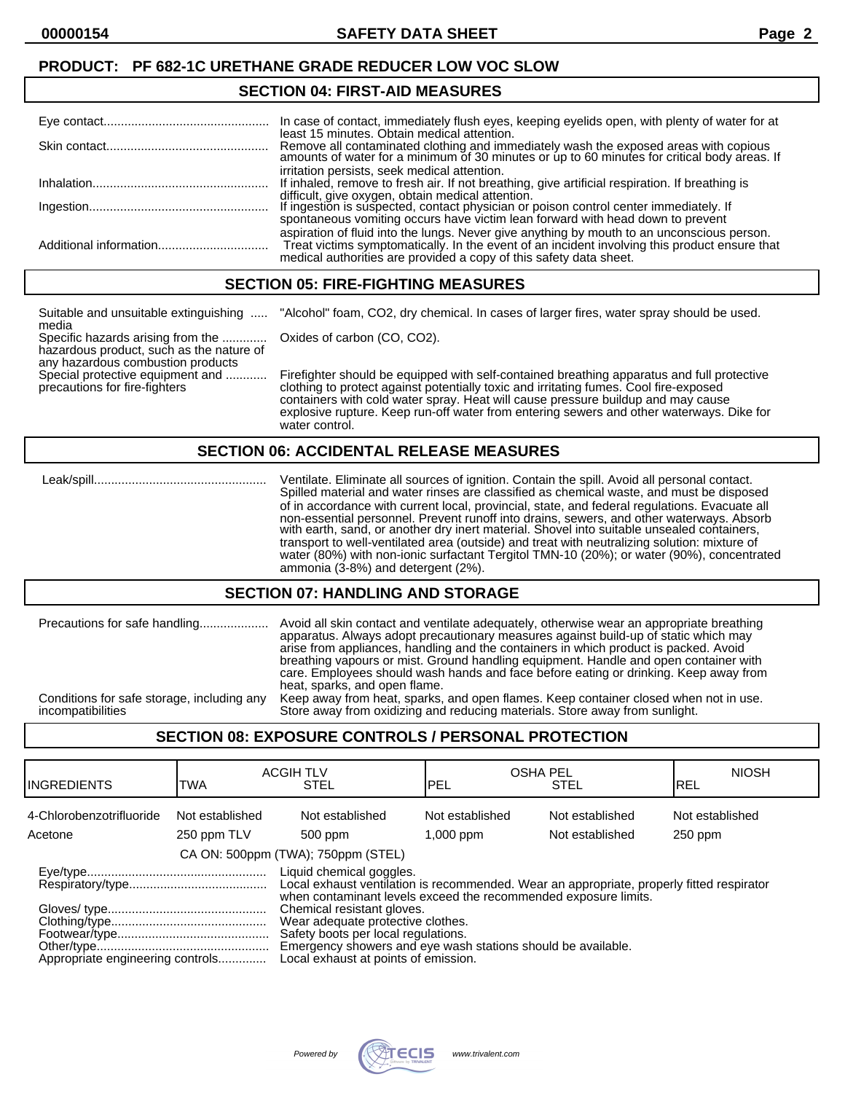### **PRODUCT: PF 682-1C URETHANE GRADE REDUCER LOW VOC SLOW**

#### **SECTION 04: FIRST-AID MEASURES**

| In case of contact, immediately flush eyes, keeping eyelids open, with plenty of water for at<br>least 15 minutes. Obtain medical attention.                                                                                                                      |
|-------------------------------------------------------------------------------------------------------------------------------------------------------------------------------------------------------------------------------------------------------------------|
| Remove all contaminated clothing and immediately wash the exposed areas with copious amounts of water for a minimum of 30 minutes or up to 60 minutes for critical body areas. If                                                                                 |
| irritation persists, seek medical attention.<br>If inhaled, remove to fresh air. If not breathing, give artificial respiration. If breathing is                                                                                                                   |
| difficult, give oxygen, obtain medical attention.<br>If ingestion is suspected, contact physician or poison control center immediately. If<br>spontaneous vomiting occurs have victim lean forward with head down to prevent                                      |
| aspiration of fluid into the lungs. Never give anything by mouth to an unconscious person.<br>Treat victims symptomatically. In the event of an incident involving this product ensure that<br>medical authorities are provided a copy of this safety data sheet. |

#### **SECTION 05: FIRE-FIGHTING MEASURES**

Suitable and unsuitable extinguishing ..... "Alcohol" foam, CO2, dry chemical. In cases of larger fires, water spray should be used.

media Specific hazards arising from the ............. Oxides of carbon (CO, CO2). hazardous product, such as the nature of any hazardous combustion products<br>Special protective equipment and ...........

Firefighter should be equipped with self-contained breathing apparatus and full protective precautions for fire-fighters clothing to protect against potentially toxic and irritating fumes. Cool fire-exposed containers with cold water spray. Heat will cause pressure buildup and may cause explosive rupture. Keep run-off water from entering sewers and other waterways. Dike for water control.

#### **SECTION 06: ACCIDENTAL RELEASE MEASURES**

 Leak/spill.................................................. Ventilate. Eliminate all sources of ignition. Contain the spill. Avoid all personal contact. Spilled material and water rinses are classified as chemical waste, and must be disposed of in accordance with current local, provincial, state, and federal regulations. Evacuate all non-essential personnel. Prevent runoff into drains, sewers, and other waterways. Absorb with earth, sand, or another dry inert material. Shovel into suitable unsealed containers, transport to well-ventilated area (outside) and treat with neutralizing solution: mixture of water (80%) with non-ionic surfactant Tergitol TMN-10 (20%); or water (90%), concentrated ammonia (3-8%) and detergent (2%).

#### **SECTION 07: HANDLING AND STORAGE**

|                                            | apparatus. Always adopt precautionary measures against build-up of static which may<br>arise from appliances, handling and the containers in which product is packed. Avoid<br>breathing vapours or mist. Ground handling equipment. Handle and open container with<br>care. Employees should wash hands and face before eating or drinking. Keep away from<br>heat, sparks, and open flame. |
|--------------------------------------------|----------------------------------------------------------------------------------------------------------------------------------------------------------------------------------------------------------------------------------------------------------------------------------------------------------------------------------------------------------------------------------------------|
| Conditions for safe storage, including any | Keep away from heat, sparks, and open flames. Keep container closed when not in use.                                                                                                                                                                                                                                                                                                         |
| incompatibilities                          | Store away from oxidizing and reducing materials. Store away from sunlight.                                                                                                                                                                                                                                                                                                                  |

## **SECTION 08: EXPOSURE CONTROLS / PERSONAL PROTECTION**

| IINGREDIENTS                        | TWA                            | <b>ACGIH TLV</b><br><b>STEL</b>                                                                                                                                                                                                                                                                                                                                                                            | <b>OSHA PEL</b><br>IPEL        | <b>STEL</b>                        | <b>NIOSH</b><br>IREL       |
|-------------------------------------|--------------------------------|------------------------------------------------------------------------------------------------------------------------------------------------------------------------------------------------------------------------------------------------------------------------------------------------------------------------------------------------------------------------------------------------------------|--------------------------------|------------------------------------|----------------------------|
| 4-Chlorobenzotrifluoride<br>Acetone | Not established<br>250 ppm TLV | Not established<br>500 ppm                                                                                                                                                                                                                                                                                                                                                                                 | Not established<br>$1,000$ ppm | Not established<br>Not established | Not established<br>250 ppm |
|                                     |                                | CA ON: 500ppm (TWA); 750ppm (STEL)                                                                                                                                                                                                                                                                                                                                                                         |                                |                                    |                            |
| Appropriate engineering controls    |                                | Liquid chemical goggles.<br>Local exhaust ventilation is recommended. Wear an appropriate, properly fitted respirator<br>when contaminant levels exceed the recommended exposure limits.<br>Chemical resistant gloves.<br>Wear adequate protective clothes.<br>Safety boots per local regulations.<br>Emergency showers and eye wash stations should be available.<br>Local exhaust at points of emission. |                                |                                    |                            |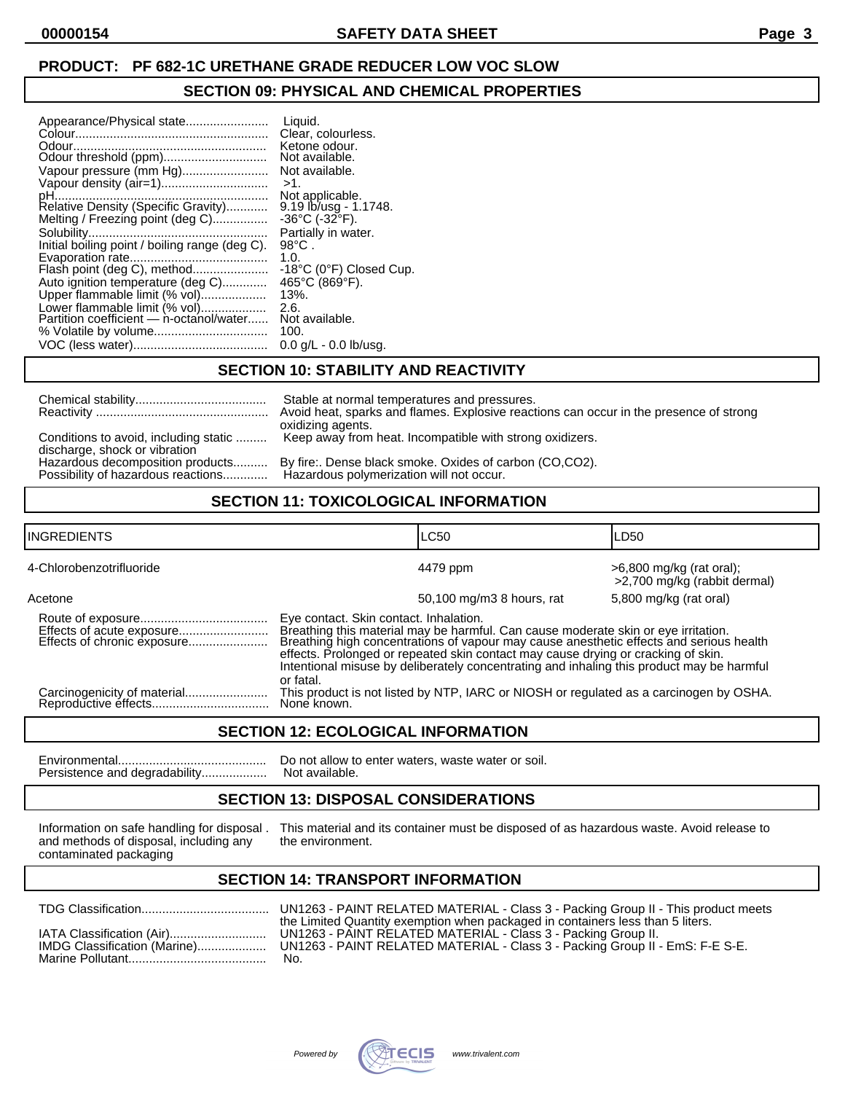## **PRODUCT: PF 682-1C URETHANE GRADE REDUCER LOW VOC SLOW**

#### **SECTION 09: PHYSICAL AND CHEMICAL PROPERTIES**

| Appearance/Physical state<br>Vapour pressure (mm Hg)<br>Relative Density (Specific Gravity)<br>Melting / Freezing point (deg C)<br>Initial boiling point / boiling range (deg C).<br>Flash point (deg C), method<br>Auto ignition temperature (deg C) | Liquid.<br>Clear, colourless.<br>Ketone odour.<br>Not available.<br>Not available.<br>$>1$ .<br>Not applicable.<br>9.19 lb/usg - 1.1748.<br>$-36^{\circ}$ C ( $-32^{\circ}$ F).<br>Partially in water.<br>$98^{\circ}$ C.<br>1.0.<br>$-18^{\circ}$ C (0 $^{\circ}$ F) Closed Cup.<br>465°C (869°F). |
|-------------------------------------------------------------------------------------------------------------------------------------------------------------------------------------------------------------------------------------------------------|-----------------------------------------------------------------------------------------------------------------------------------------------------------------------------------------------------------------------------------------------------------------------------------------------------|
|                                                                                                                                                                                                                                                       |                                                                                                                                                                                                                                                                                                     |
| Upper flammable limit (% vol)                                                                                                                                                                                                                         | $13%$ .                                                                                                                                                                                                                                                                                             |
| Lower flammable limit (% vol)<br>Partition coefficient - n-octanol/water                                                                                                                                                                              | 2.6.<br>Not available.<br>100.                                                                                                                                                                                                                                                                      |
|                                                                                                                                                                                                                                                       | $0.0$ g/L - 0.0 lb/usg.                                                                                                                                                                                                                                                                             |

## **SECTION 10: STABILITY AND REACTIVITY**

|                                                                        | Stable at normal temperatures and pressures.<br>Avoid heat, sparks and flames. Explosive reactions can occur in the presence of strong<br>oxidizing agents. |
|------------------------------------------------------------------------|-------------------------------------------------------------------------------------------------------------------------------------------------------------|
| Conditions to avoid, including static<br>discharge, shock or vibration | Keep away from heat. Incompatible with strong oxidizers.                                                                                                    |
| Hazardous decomposition products<br>Possibility of hazardous reactions | By fire: Dense black smoke. Oxides of carbon (CO,CO2).<br>Hazardous polymerization will not occur.                                                          |

# **SECTION 11: TOXICOLOGICAL INFORMATION**

| <b>INGREDIENTS</b>       |                                                                                                                                                                                                                                                                                                                                                                                                           | <b>LC50</b>                                                                            | LD50                                                     |
|--------------------------|-----------------------------------------------------------------------------------------------------------------------------------------------------------------------------------------------------------------------------------------------------------------------------------------------------------------------------------------------------------------------------------------------------------|----------------------------------------------------------------------------------------|----------------------------------------------------------|
| 4-Chlorobenzotrifluoride |                                                                                                                                                                                                                                                                                                                                                                                                           | 4479 ppm                                                                               | >6,800 mg/kg (rat oral);<br>>2,700 mg/kg (rabbit dermal) |
| Acetone                  |                                                                                                                                                                                                                                                                                                                                                                                                           | 50,100 mg/m3 8 hours, rat                                                              | 5,800 mg/kg (rat oral)                                   |
|                          | Eye contact. Skin contact. Inhalation.<br>Breathing this material may be harmful. Can cause moderate skin or eye irritation.<br>Breathing high concentrations of vapour may cause anesthetic effects and serious health<br>effects. Prolonged or repeated skin contact may cause drying or cracking of skin.<br>Intentional misuse by deliberately concentrating and inhaling this product may be harmful |                                                                                        |                                                          |
|                          | or fatal.<br>None known.                                                                                                                                                                                                                                                                                                                                                                                  | This product is not listed by NTP, IARC or NIOSH or regulated as a carcinogen by OSHA. |                                                          |

## **SECTION 12: ECOLOGICAL INFORMATION**

Environmental........................................... Do not allow to enter waters, waste water or soil. Persistence and degradability...................

## **SECTION 13: DISPOSAL CONSIDERATIONS**

and methods of disposal, including any contaminated packaging

Information on safe handling for disposal . This material and its container must be disposed of as hazardous waste. Avoid release to and methods of disposal, including any the environment.

## **SECTION 14: TRANSPORT INFORMATION**

|                              | UN1263 - PAINT RELATED MATERIAL - Class 3 - Packing Group II - This product meets                                                                                                                                               |
|------------------------------|---------------------------------------------------------------------------------------------------------------------------------------------------------------------------------------------------------------------------------|
| IMDG Classification (Marine) | the Limited Quantity exemption when packaged in containers less than 5 liters.<br>UN1263 - PAINT RELATED MATERIAL - Class 3 - Packing Group II.<br>UN1263 - PAINT RELATED MATERIAL - Class 3 - Packing Group II - EmS: F-E S-E. |
|                              | No.                                                                                                                                                                                                                             |